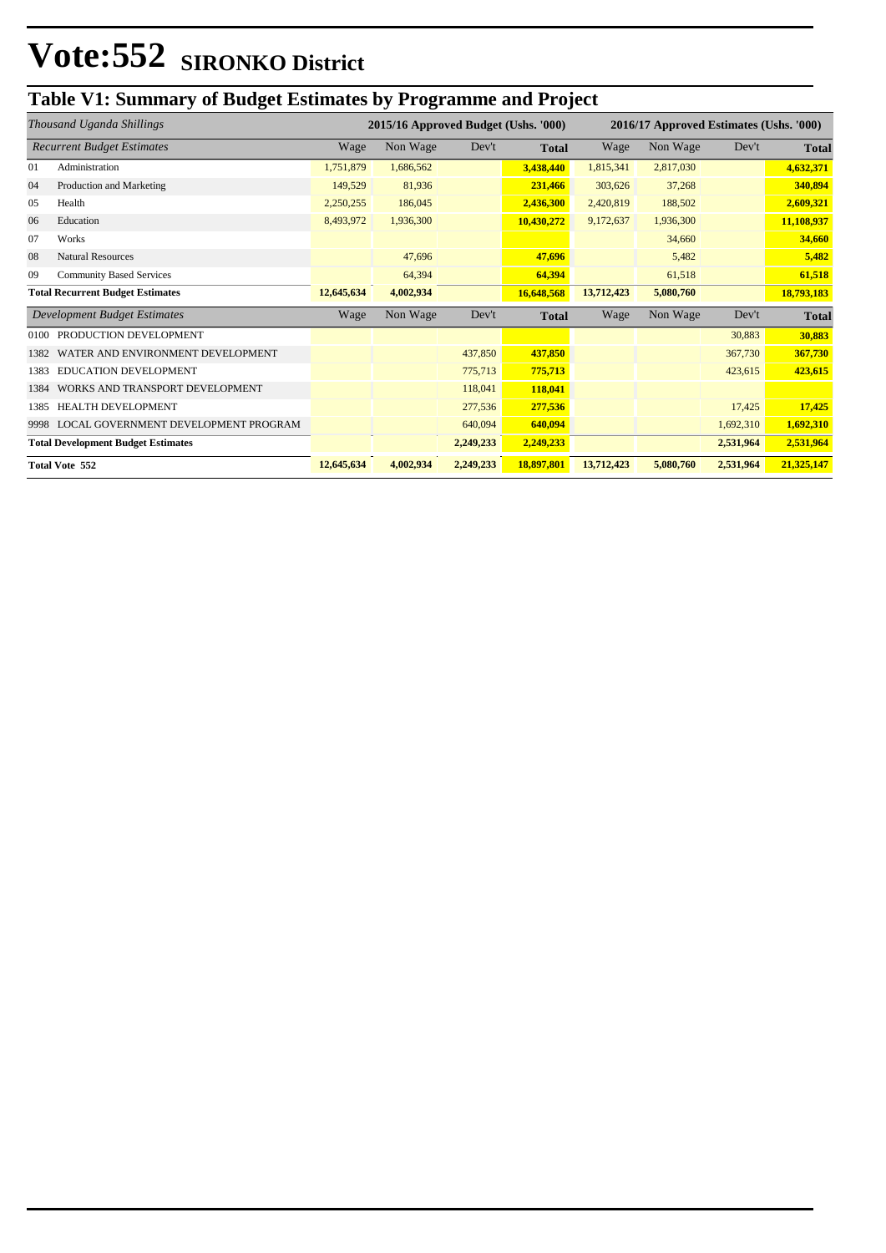## **Table V1: Summary of Budget Estimates by Programme and Project**

| Thousand Uganda Shillings                 |                                         |            | 2015/16 Approved Budget (Ushs. '000) |           |              | 2016/17 Approved Estimates (Ushs. '000) |           |           |              |
|-------------------------------------------|-----------------------------------------|------------|--------------------------------------|-----------|--------------|-----------------------------------------|-----------|-----------|--------------|
|                                           | <b>Recurrent Budget Estimates</b>       | Wage       | Non Wage                             | Dev't     | <b>Total</b> | Wage                                    | Non Wage  | Dev't     | <b>Total</b> |
| 01                                        | Administration                          | 1,751,879  | 1,686,562                            |           | 3,438,440    | 1,815,341                               | 2,817,030 |           | 4,632,371    |
| 04                                        | Production and Marketing                | 149,529    | 81,936                               |           | 231,466      | 303,626                                 | 37,268    |           | 340,894      |
| 05                                        | Health                                  | 2,250,255  | 186,045                              |           | 2,436,300    | 2,420,819                               | 188,502   |           | 2,609,321    |
| 06                                        | Education                               | 8,493,972  | 1,936,300                            |           | 10,430,272   | 9,172,637                               | 1,936,300 |           | 11,108,937   |
| 07                                        | Works                                   |            |                                      |           |              |                                         | 34,660    |           | 34,660       |
| 08                                        | <b>Natural Resources</b>                |            | 47,696                               |           | 47,696       |                                         | 5,482     |           | 5,482        |
| 09                                        | <b>Community Based Services</b>         |            | 64,394                               |           | 64,394       |                                         | 61,518    |           | 61,518       |
|                                           | <b>Total Recurrent Budget Estimates</b> | 12,645,634 | 4,002,934                            |           | 16,648,568   | 13,712,423                              | 5,080,760 |           | 18,793,183   |
|                                           | Development Budget Estimates            | Wage       | Non Wage                             | Dev't     | <b>Total</b> | Wage                                    | Non Wage  | Dev't     | <b>Total</b> |
| 0100                                      | PRODUCTION DEVELOPMENT                  |            |                                      |           |              |                                         |           | 30,883    | 30,883       |
| 1382                                      | WATER AND ENVIRONMENT DEVELOPMENT       |            |                                      | 437,850   | 437,850      |                                         |           | 367,730   | 367,730      |
| 1383                                      | <b>EDUCATION DEVELOPMENT</b>            |            |                                      | 775,713   | 775,713      |                                         |           | 423,615   | 423,615      |
| 1384                                      | WORKS AND TRANSPORT DEVELOPMENT         |            |                                      | 118,041   | 118,041      |                                         |           |           |              |
| 1385                                      | <b>HEALTH DEVELOPMENT</b>               |            |                                      | 277,536   | 277,536      |                                         |           | 17,425    | 17,425       |
| 9998                                      | LOCAL GOVERNMENT DEVELOPMENT PROGRAM    |            |                                      | 640,094   | 640,094      |                                         |           | 1,692,310 | 1,692,310    |
| <b>Total Development Budget Estimates</b> |                                         |            |                                      | 2,249,233 | 2,249,233    |                                         |           | 2,531,964 | 2,531,964    |
| <b>Total Vote 552</b>                     |                                         | 12,645,634 | 4,002,934                            | 2,249,233 | 18,897,801   | 13,712,423                              | 5,080,760 | 2,531,964 | 21,325,147   |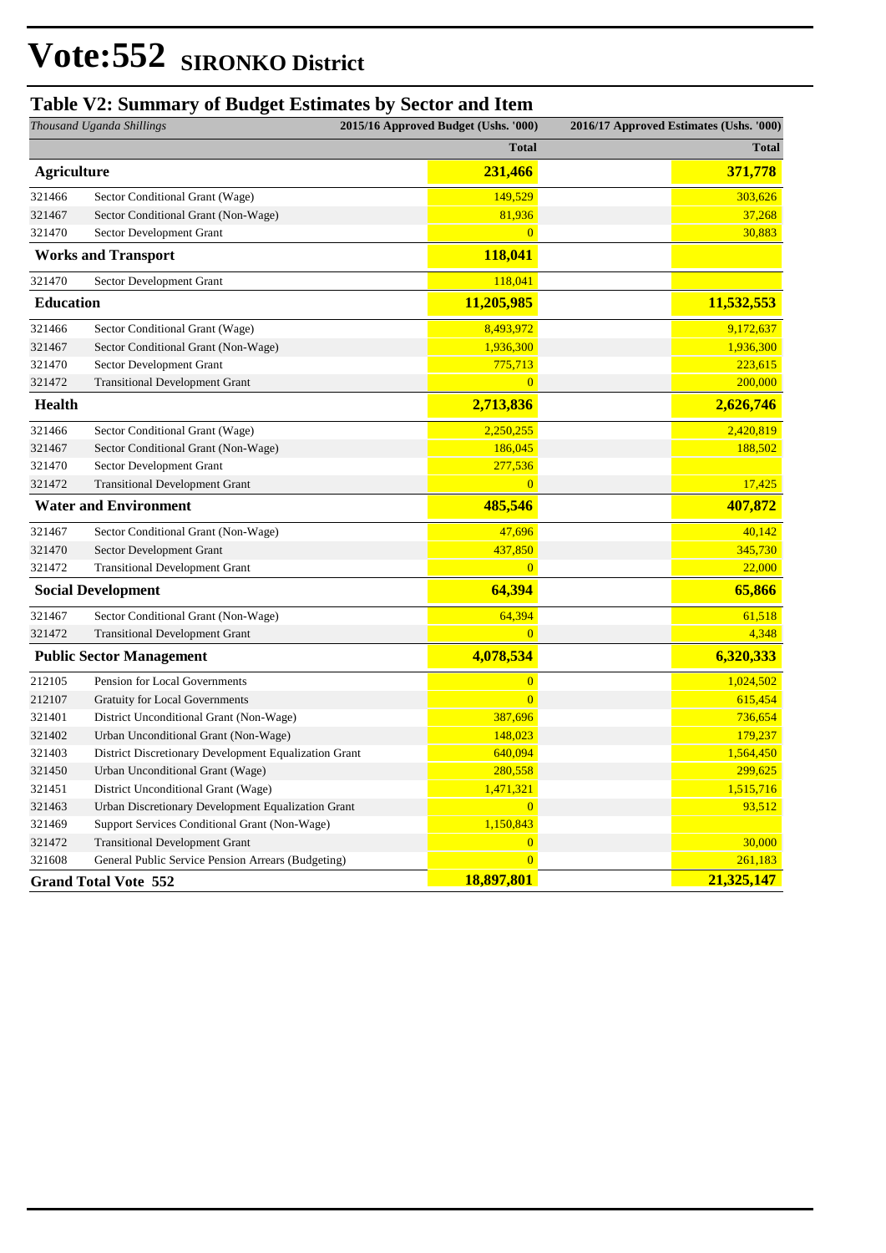### **Table V2: Summary of Budget Estimates by Sector and Item**

| Thousand Uganda Shillings   |                                                       | 2015/16 Approved Budget (Ushs. '000) | 2016/17 Approved Estimates (Ushs. '000) |            |
|-----------------------------|-------------------------------------------------------|--------------------------------------|-----------------------------------------|------------|
|                             |                                                       | <b>Total</b>                         |                                         | Total      |
| <b>Agriculture</b>          |                                                       | 231,466                              |                                         | 371,778    |
| 321466                      | Sector Conditional Grant (Wage)                       | 149,529                              |                                         | 303,626    |
| 321467                      | Sector Conditional Grant (Non-Wage)                   | 81,936                               |                                         | 37,268     |
| 321470                      | Sector Development Grant                              | $\overline{0}$                       |                                         | 30,883     |
|                             | <b>Works and Transport</b>                            | 118,041                              |                                         |            |
| 321470                      | Sector Development Grant                              | 118,041                              |                                         |            |
| <b>Education</b>            |                                                       | 11,205,985                           |                                         | 11,532,553 |
| 321466                      | Sector Conditional Grant (Wage)                       | 8,493,972                            |                                         | 9,172,637  |
| 321467                      | Sector Conditional Grant (Non-Wage)                   | 1,936,300                            |                                         | 1,936,300  |
| 321470                      | Sector Development Grant                              | 775,713                              |                                         | 223,615    |
| 321472                      | <b>Transitional Development Grant</b>                 | $\overline{0}$                       |                                         | 200,000    |
| Health                      |                                                       | 2,713,836                            |                                         | 2,626,746  |
| 321466                      | Sector Conditional Grant (Wage)                       | 2,250,255                            |                                         | 2,420,819  |
| 321467                      | Sector Conditional Grant (Non-Wage)                   | 186,045                              |                                         | 188,502    |
| 321470                      | Sector Development Grant                              | 277,536                              |                                         |            |
| 321472                      | <b>Transitional Development Grant</b>                 | $\overline{0}$                       |                                         | 17,425     |
|                             | <b>Water and Environment</b>                          | 485,546                              |                                         | 407,872    |
| 321467                      | Sector Conditional Grant (Non-Wage)                   | 47,696                               |                                         | 40,142     |
| 321470                      | Sector Development Grant                              | 437,850                              |                                         | 345,730    |
| 321472                      | <b>Transitional Development Grant</b>                 | $\overline{0}$                       |                                         | 22,000     |
|                             | <b>Social Development</b>                             | 64,394                               |                                         | 65,866     |
| 321467                      | Sector Conditional Grant (Non-Wage)                   | 64,394                               |                                         | 61,518     |
| 321472                      | <b>Transitional Development Grant</b>                 | $\overline{0}$                       |                                         | 4,348      |
|                             | <b>Public Sector Management</b>                       | 4,078,534                            |                                         | 6,320,333  |
| 212105                      | Pension for Local Governments                         | $\overline{0}$                       |                                         | 1,024,502  |
| 212107                      | Gratuity for Local Governments                        | $\overline{0}$                       |                                         | 615,454    |
| 321401                      | District Unconditional Grant (Non-Wage)               | 387,696                              |                                         | 736,654    |
| 321402                      | Urban Unconditional Grant (Non-Wage)                  | 148,023                              |                                         | 179,237    |
| 321403                      | District Discretionary Development Equalization Grant | 640,094                              |                                         | 1,564,450  |
| 321450                      | Urban Unconditional Grant (Wage)                      | 280,558                              |                                         | 299,625    |
| 321451                      | District Unconditional Grant (Wage)                   | 1,471,321                            |                                         | 1,515,716  |
| 321463                      | Urban Discretionary Development Equalization Grant    | $\overline{0}$                       |                                         | 93,512     |
| 321469                      | Support Services Conditional Grant (Non-Wage)         | 1,150,843                            |                                         |            |
| 321472                      | <b>Transitional Development Grant</b>                 | $\overline{0}$                       |                                         | 30,000     |
| 321608                      | General Public Service Pension Arrears (Budgeting)    | $\overline{0}$                       |                                         | 261,183    |
| <b>Grand Total Vote 552</b> |                                                       | 18,897,801                           |                                         | 21,325,147 |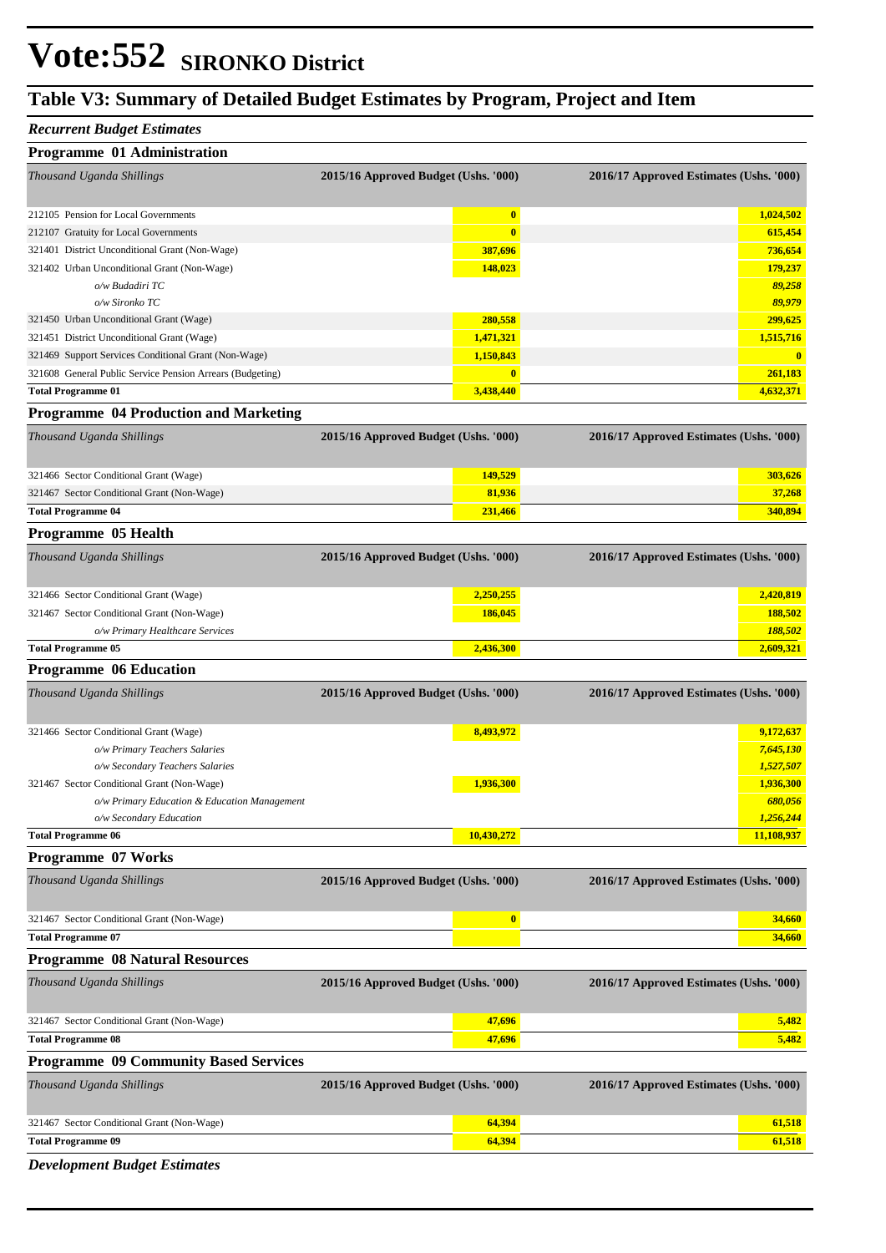### **Table V3: Summary of Detailed Budget Estimates by Program, Project and Item**

#### *Recurrent Budget Estimates*

| Programme 01 Administration                               |                                      |                                         |  |
|-----------------------------------------------------------|--------------------------------------|-----------------------------------------|--|
| Thousand Uganda Shillings                                 | 2015/16 Approved Budget (Ushs. '000) | 2016/17 Approved Estimates (Ushs. '000) |  |
| 212105 Pension for Local Governments                      | $\mathbf{0}$                         | 1,024,502                               |  |
| 212107 Gratuity for Local Governments                     | $\mathbf{0}$                         | 615,454                                 |  |
| 321401 District Unconditional Grant (Non-Wage)            | 387,696                              | 736,654                                 |  |
| 321402 Urban Unconditional Grant (Non-Wage)               | 148,023                              | 179,237                                 |  |
| o/w Budadiri TC                                           |                                      | 89,258                                  |  |
| o/w Sironko TC                                            |                                      | 89,979                                  |  |
| 321450 Urban Unconditional Grant (Wage)                   | 280,558                              | 299,625                                 |  |
| 321451 District Unconditional Grant (Wage)                | 1,471,321                            | 1,515,716                               |  |
| 321469 Support Services Conditional Grant (Non-Wage)      | 1,150,843                            | $\mathbf{0}$                            |  |
| 321608 General Public Service Pension Arrears (Budgeting) | $\mathbf{0}$                         | 261,183                                 |  |
| <b>Total Programme 01</b>                                 |                                      | 4,632,371                               |  |

#### **Programme 04 Production and Marketing**

| Thousand Uganda Shillings                  | 2015/16 Approved Budget (Ushs. '000) | 2016/17 Approved Estimates (Ushs. '000) |
|--------------------------------------------|--------------------------------------|-----------------------------------------|
| 321466 Sector Conditional Grant (Wage)     | 149.529                              | 303.626                                 |
| 321467 Sector Conditional Grant (Non-Wage) | 81,936                               | 37,268                                  |
| <b>Total Programme 04</b>                  | 231,466                              | 340,894                                 |

#### **Programme 05 Health**

| Thousand Uganda Shillings                  | 2015/16 Approved Budget (Ushs. '000) | 2016/17 Approved Estimates (Ushs. '000) |
|--------------------------------------------|--------------------------------------|-----------------------------------------|
| 321466 Sector Conditional Grant (Wage)     | 2,250,255                            | 2,420,819                               |
| 321467 Sector Conditional Grant (Non-Wage) | 186,045                              | 188.502                                 |
| o/w Primary Healthcare Services            |                                      | 188,502                                 |
| <b>Total Programme 05</b>                  | 2,436,300                            | 2,609,321                               |

#### **Programme 06 Education**

| Thousand Uganda Shillings                    | 2015/16 Approved Budget (Ushs. '000) | 2016/17 Approved Estimates (Ushs. '000) |
|----------------------------------------------|--------------------------------------|-----------------------------------------|
| 321466 Sector Conditional Grant (Wage)       | 8,493,972                            | 9,172,637                               |
| o/w Primary Teachers Salaries                |                                      | 7,645,130                               |
| o/w Secondary Teachers Salaries              |                                      | 1,527,507                               |
| 321467 Sector Conditional Grant (Non-Wage)   | 1,936,300                            | 1,936,300                               |
| o/w Primary Education & Education Management |                                      | 680,056                                 |
| o/w Secondary Education                      |                                      | 1,256,244                               |
| <b>Total Programme 06</b>                    | 10,430,272                           | 11,108,937                              |

### **Programme 07 Works** *Thousand Uganda Shillings* **2015/16 Approved Budget (Ushs. '000) 2016/17 Approved Estimates (Ushs. '000)** 321467 Sector Conditional Grant (Non-Wage) **0 34,660 Total Programme 07 34,660**

#### **Programme 08 Natural Resources** *Thousand Uganda Shillings* **2015/16 Approved Budget (Ushs. '000) 2016/17 Approved Estimates (Ushs. '000)**

|                                              | $= 0.26$ , $\pm 0.26$ , $\pm 0.04$ , $\pm 0.04$ , $\pm 0.04$ , $\pm 0.00$ , $\pm 0.00$ , $\pm 0.00$ , $\pm 0.00$ , $\pm 0.00$ , $\pm 0.00$ , $\pm 0.00$ , $\pm 0.00$ , $\pm 0.00$ , $\pm 0.00$ , $\pm 0.00$ , $\pm 0.00$ , $\pm 0.00$ , $\pm 0.00$ , $\pm 0.00$ , $\$ | $\frac{1}{200}$ |
|----------------------------------------------|-----------------------------------------------------------------------------------------------------------------------------------------------------------------------------------------------------------------------------------------------------------------------|-----------------|
| 321467 Sector Conditional Grant (Non-Wage)   | 47,696                                                                                                                                                                                                                                                                | 5.482           |
| <b>Total Programme 08</b>                    | 47,696                                                                                                                                                                                                                                                                | 5.482           |
| <b>Programme 09 Community Based Services</b> |                                                                                                                                                                                                                                                                       |                 |

### *Thousand Uganda Shillings* **2015/16 Approved Budget (Ushs. '000) 2016/17 Approved Estimates (Ushs. '000)** 321467 Sector Conditional Grant (Non-Wage) **64,394 61,518 Total Programme 09 64,394 64,394 64,394 64,394 64,394 64,394 64,394 61,518**

*Development Budget Estimates*